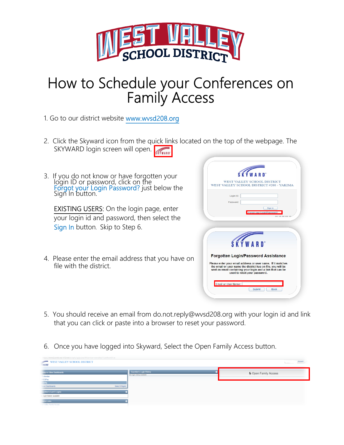

## How to Schedule your Conferences on Family Access

1. Go to our district website www.wvsd208.org

- 2. Click the Skyward icon from the quick links located on the top of the webpage. The SKYWARD login screen will open.
- 3. If you do not know or have forgotten your login ID or password, click on the Forgot your Login Password? just below the Sign In button.

**EXISTING USERS:** On the login page, enter your login id and password, then select the Sign In button. Skip to Step 6.

4. Please enter the email address that you have on file with the district.

| <b>SKYWA</b>                                                                                                                                                                                                              |
|---------------------------------------------------------------------------------------------------------------------------------------------------------------------------------------------------------------------------|
| WEST VALLEY SCHOOL DISTRICT<br>WEST VALLEY SCHOOL DISTRICT #208 - YAKIMA                                                                                                                                                  |
| Login ID:<br>Password:<br>Sign In                                                                                                                                                                                         |
| Forgot your Login/Password?<br>05.40.08.00                                                                                                                                                                                |
| <b>SKYWARD</b> <sup>*</sup>                                                                                                                                                                                               |
| Forgotten Login/Password Assistance                                                                                                                                                                                       |
| Please enter your email address or user name. If it matches<br>the email or user name the district has on file, you will be<br>sent an email containing your login and a link that can be<br>used to reset your password. |
|                                                                                                                                                                                                                           |

- 5. You should receive an email from do.not.reply@wvsd208.org with your login id and link that you can click or paste into a browser to reset your password.
- 6. Once you have logged into Skyward, Select the Open Family Access button.

| https://www2.scrdc.wa-k12.net/scripts/cgiip.exe/WService=wwvalles71/ssfhom01.w |                |                                                        |                        |
|--------------------------------------------------------------------------------|----------------|--------------------------------------------------------|------------------------|
| WEST VALLEY SCHOOL DISTRICT<br>$\frac{1}{2}$<br>WARD"                          |                |                                                        | Account                |
| ump to Other Dashboards<br>*Calendar                                           |                | Guardian's Login History<br>No login history available | the Open Family Access |
| VESPac<br><b>Family</b><br>Reset Dashboards                                    | Select Widgets |                                                        |                        |
| uardian's Last 5 Logins<br>login history available                             |                |                                                        |                        |
| <b>Istrict Links</b><br>est Valley Family Access<br>and sound Processed        |                |                                                        |                        |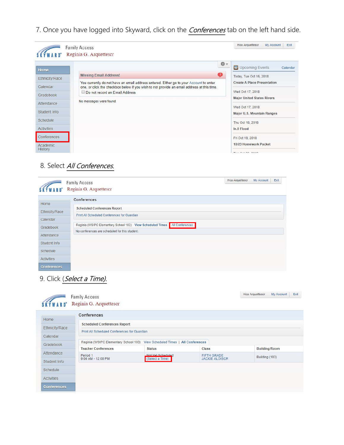7. Once you have logged into Skyward, click on the **Conferences** tab on the left hand side.

|                                                                                                                                                             | <b>Family Access</b>                                                                                                                                                                                                                                                                                                    | Hoa Arquettescr<br>My Account                                                                                                                                                                                                                                                                                                                                       | Exit     |
|-------------------------------------------------------------------------------------------------------------------------------------------------------------|-------------------------------------------------------------------------------------------------------------------------------------------------------------------------------------------------------------------------------------------------------------------------------------------------------------------------|---------------------------------------------------------------------------------------------------------------------------------------------------------------------------------------------------------------------------------------------------------------------------------------------------------------------------------------------------------------------|----------|
| Home<br>Ethnicity/Race<br>Calendar<br>Gradebook<br>Attendance<br>Student Info<br>Schedule<br><b>Activities</b><br><b>Conferences</b><br>Academic<br>History | Reginia G. Arquettescr<br>春。<br>Œ<br><b>Missing Email Address!</b><br>You currently do not have an email address entered. Either go to your Account to enter<br>one, or click the checkbox below if you wish to not provide an email address at this time.<br>Do not record an Email Address<br>No messages were found. | <b>E Upcoming Events</b><br>Today, Tue Oct 16, 2018<br><b>Create A Place Presentation</b><br>Wed Oct 17, 2018<br><b>Major United States Rivers</b><br>Wed Oct 17, 2018<br>Major U.S. Mountain Ranges<br>Thu Oct 18, 2018<br>In.9 Flood<br>Fri Oct 19, 2018<br>10/23 Homework Packet<br>$T_{\text{max}}$ $\bigcap_{n=1}^{n}$ $\bigcap_{n=1}^{n}$ $\bigcap_{n=1}^{n}$ | Calendar |

## 8. Select All Conferences.

|                    | Hoa Arquettescr<br>Exit<br>My Account<br><b>Family Access</b><br>Reginia G. Arquettescr |
|--------------------|-----------------------------------------------------------------------------------------|
| Home               | Conferences                                                                             |
| Ethnicity/Race     | <b>Scheduled Conferences Report</b>                                                     |
| Calendar           | Print All Scheduled Conferences for Guardian                                            |
| Gradebook          | All Conferences<br>Reginia (WSIPC Elementary School 103) View Scheduled Times           |
| Attendance         | No conferences are scheduled for this student.                                          |
| Student Info       |                                                                                         |
| Schedule           |                                                                                         |
| <b>Activities</b>  |                                                                                         |
| <b>Conferences</b> |                                                                                         |

## 9. Click (Select a Time).

|                    | <b>Family Access</b><br>Reginia G. Arquettescr |                                        |                                             | Hoa Arquettescr<br>My Account<br>Exit |
|--------------------|------------------------------------------------|----------------------------------------|---------------------------------------------|---------------------------------------|
| Home               | <b>Conferences</b>                             |                                        |                                             |                                       |
|                    | <b>Scheduled Conferences Report</b>            |                                        |                                             |                                       |
| Ethnicity/Race     | Print All Scheduled Conferences for Guardian   |                                        |                                             |                                       |
| Calendar           |                                                |                                        |                                             |                                       |
| Gradebook          | Reginia (WSIPC Elementary School 103)          | View Scheduled Times   All Conferences |                                             |                                       |
| Attendance         | <b>Teacher Conferences</b>                     | <b>Status</b>                          | <b>Class</b>                                | Building/Room                         |
|                    | Period 1<br>9:00 AM - 12:00 PM                 | Not Vet Scheduled<br>(Select a Time)   | <b>FIFTH GRADE</b><br><b>JACKIE ALOISCR</b> | Building (103)                        |
| Student Info       |                                                |                                        |                                             |                                       |
| Schedule           |                                                |                                        |                                             |                                       |
| <b>Activities</b>  |                                                |                                        |                                             |                                       |
| <b>Conferences</b> |                                                |                                        |                                             |                                       |